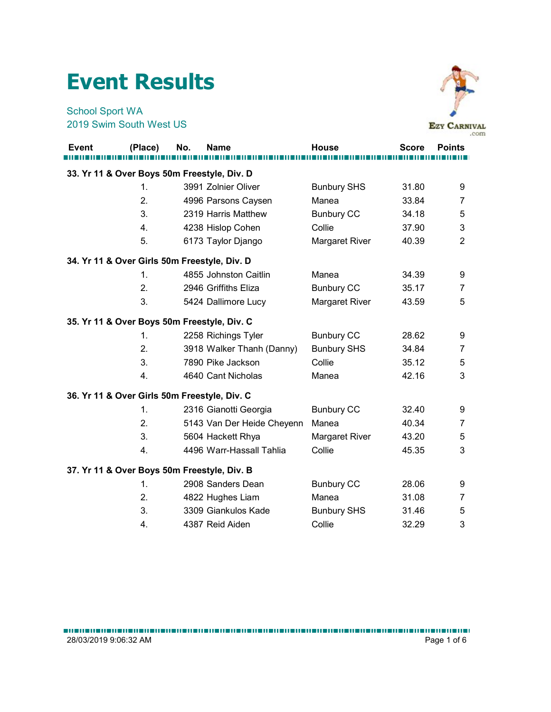## Event Results



|                                              | <b>Event Results</b>                         |     |                                               |                          |                |                             |
|----------------------------------------------|----------------------------------------------|-----|-----------------------------------------------|--------------------------|----------------|-----------------------------|
| <b>School Sport WA</b>                       | 2019 Swim South West US                      |     |                                               |                          |                | <b>EZY CARNIVAL</b><br>.com |
| <b>Event</b>                                 | (Place)                                      | No. | <b>Name</b>                                   | <b>House</b>             | <b>Score</b>   | <b>Points</b>               |
| 33. Yr 11 & Over Boys 50m Freestyle, Div. D  |                                              |     |                                               |                          |                |                             |
|                                              | $\mathbf{1}$ .                               |     | 3991 Zolnier Oliver                           | <b>Bunbury SHS</b>       | 31.80          | 9                           |
|                                              | 2.                                           |     | 4996 Parsons Caysen                           | Manea                    | 33.84          | $\overline{7}$              |
|                                              | 3.                                           |     | 2319 Harris Matthew                           | <b>Bunbury CC</b>        | 34.18          | 5                           |
|                                              | 4.                                           |     | 4238 Hislop Cohen                             | Collie                   | 37.90          | 3                           |
|                                              | 5.                                           |     | 6173 Taylor Django                            | Margaret River           | 40.39          | $\overline{2}$              |
|                                              | 34. Yr 11 & Over Girls 50m Freestyle, Div. D |     |                                               |                          |                |                             |
|                                              | 1.                                           |     | 4855 Johnston Caitlin                         | Manea                    | 34.39          | 9                           |
|                                              | 2.                                           |     | 2946 Griffiths Eliza                          | <b>Bunbury CC</b>        | 35.17          | $\overline{7}$              |
|                                              | 3.                                           |     | 5424 Dallimore Lucy                           | Margaret River           | 43.59          | $\mathbf 5$                 |
| 35. Yr 11 & Over Boys 50m Freestyle, Div. C  |                                              |     |                                               |                          |                |                             |
|                                              | 1.                                           |     | 2258 Richings Tyler                           | <b>Bunbury CC</b>        | 28.62          | 9                           |
|                                              | 2.                                           |     | 3918 Walker Thanh (Danny)                     | <b>Bunbury SHS</b>       | 34.84          | $\overline{7}$              |
|                                              | 3.                                           |     | 7890 Pike Jackson                             | Collie                   | 35.12          | $\mathbf 5$                 |
|                                              | 4.                                           |     | 4640 Cant Nicholas                            | Manea                    | 42.16          | 3                           |
|                                              |                                              |     |                                               |                          |                |                             |
| 36. Yr 11 & Over Girls 50m Freestyle, Div. C |                                              |     |                                               |                          |                |                             |
|                                              | 1.                                           |     | 2316 Gianotti Georgia                         | <b>Bunbury CC</b>        | 32.40          | 9                           |
|                                              | 2.                                           |     | 5143 Van Der Heide Cheyenn                    | Manea                    | 40.34          | $\overline{7}$              |
|                                              | 3.<br>4.                                     |     | 5604 Hackett Rhya<br>4496 Warr-Hassall Tahlia | Margaret River<br>Collie | 43.20<br>45.35 | $\mathbf 5$<br>3            |
|                                              |                                              |     |                                               |                          |                |                             |
| 37. Yr 11 & Over Boys 50m Freestyle, Div. B  |                                              |     |                                               |                          |                |                             |
|                                              | 1.                                           |     | 2908 Sanders Dean                             | <b>Bunbury CC</b>        | 28.06          | 9                           |
|                                              | 2.                                           |     | 4822 Hughes Liam                              | Manea                    | 31.08          | $\overline{7}$              |
|                                              | 3.                                           |     | 3309 Giankulos Kade                           | <b>Bunbury SHS</b>       | 31.46          | $\mathbf 5$                 |
|                                              | 4.                                           |     | 4387 Reid Aiden                               | Collie                   | 32.29          | $\mathbf{3}$                |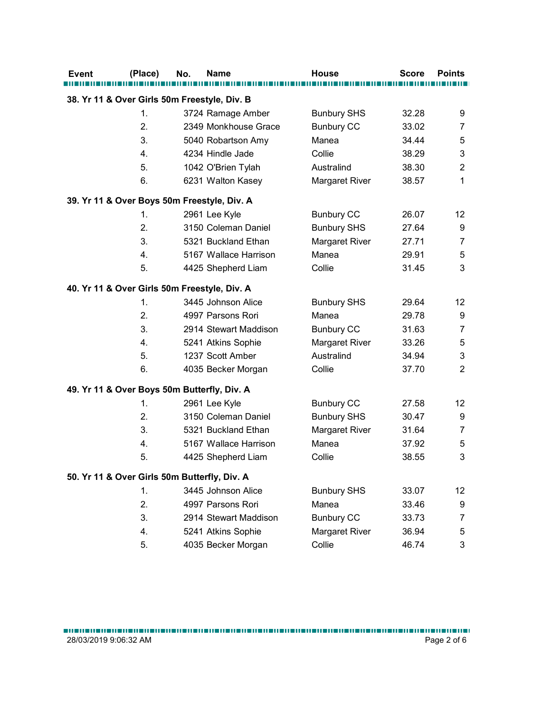| (Place)        | <b>Name</b><br>No.                           | <b>House</b>          | <b>Score</b> | <b>Points</b>  |
|----------------|----------------------------------------------|-----------------------|--------------|----------------|
|                | 38. Yr 11 & Over Girls 50m Freestyle, Div. B |                       |              |                |
| 1.             | 3724 Ramage Amber                            | <b>Bunbury SHS</b>    | 32.28        | 9              |
| 2.             | 2349 Monkhouse Grace                         | <b>Bunbury CC</b>     | 33.02        | $\overline{7}$ |
| 3.             | 5040 Robartson Amy                           | Manea                 | 34.44        | 5              |
| 4.             | 4234 Hindle Jade                             | Collie                | 38.29        | 3              |
| 5.             | 1042 O'Brien Tylah                           | Australind            | 38.30        | $\overline{2}$ |
| 6.             | 6231 Walton Kasey                            | Margaret River        | 38.57        | 1              |
|                | 39. Yr 11 & Over Boys 50m Freestyle, Div. A  |                       |              |                |
| 1.             | 2961 Lee Kyle                                | <b>Bunbury CC</b>     | 26.07        | 12             |
| 2.             | 3150 Coleman Daniel                          | <b>Bunbury SHS</b>    | 27.64        | 9              |
| 3.             | 5321 Buckland Ethan                          | Margaret River        | 27.71        | $\overline{7}$ |
| 4.             | 5167 Wallace Harrison                        | Manea                 | 29.91        | 5              |
| 5.             | 4425 Shepherd Liam                           | Collie                | 31.45        | 3              |
|                | 40. Yr 11 & Over Girls 50m Freestyle, Div. A |                       |              |                |
| $\mathbf{1}$ . | 3445 Johnson Alice                           | <b>Bunbury SHS</b>    | 29.64        | 12             |
| 2.             | 4997 Parsons Rori                            | Manea                 | 29.78        | 9              |
| 3.             | 2914 Stewart Maddison                        | <b>Bunbury CC</b>     | 31.63        | $\overline{7}$ |
| 4.             | 5241 Atkins Sophie                           | <b>Margaret River</b> | 33.26        | 5              |
| 5.             | 1237 Scott Amber                             | Australind            | 34.94        | 3              |
| 6.             | 4035 Becker Morgan                           | Collie                | 37.70        | $\overline{2}$ |
|                | 49. Yr 11 & Over Boys 50m Butterfly, Div. A  |                       |              |                |
| 1.             | 2961 Lee Kyle                                | <b>Bunbury CC</b>     | 27.58        | 12             |
| 2.             | 3150 Coleman Daniel                          | <b>Bunbury SHS</b>    | 30.47        | 9              |
| 3.             | 5321 Buckland Ethan                          | <b>Margaret River</b> | 31.64        | $\overline{7}$ |
| 4.             | 5167 Wallace Harrison                        | Manea                 | 37.92        | 5              |
| 5.             | 4425 Shepherd Liam                           | Collie                | 38.55        | 3              |
|                |                                              |                       |              |                |
|                | 50. Yr 11 & Over Girls 50m Butterfly, Div. A |                       |              |                |
| $\mathbf{1}$ . | 3445 Johnson Alice                           | <b>Bunbury SHS</b>    | 33.07        | 12             |
| 2.             | 4997 Parsons Rori                            | Manea                 | 33.46        | 9              |
| 3.             | 2914 Stewart Maddison                        | <b>Bunbury CC</b>     | 33.73        | 7              |
| 4.             | 5241 Atkins Sophie                           | <b>Margaret River</b> | 36.94        | 5              |
| 5.             | 4035 Becker Morgan                           | Collie                | 46.74        | 3              |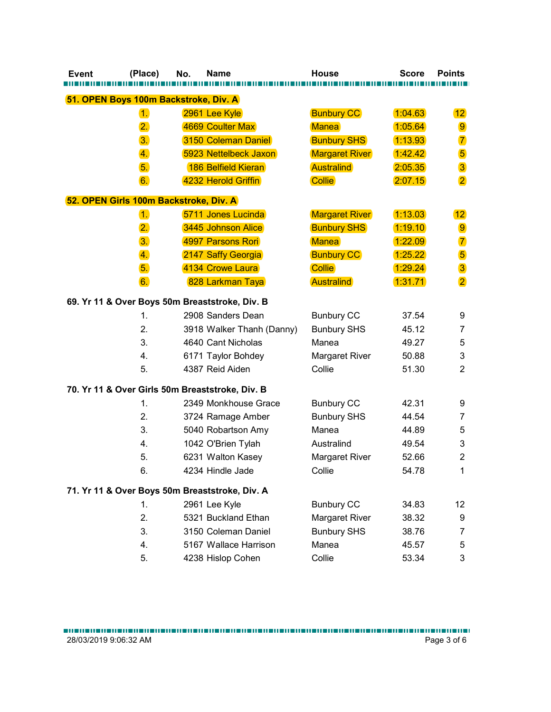|                           | 51. OPEN Boys 100m Backstroke, Div. A           |                       |         |                           |
|---------------------------|-------------------------------------------------|-----------------------|---------|---------------------------|
| $\overline{\mathbf{1}}$   | 2961 Lee Kyle                                   | <b>Bunbury CC</b>     | 1:04.63 | 12                        |
| $\overline{2}$ .          | 4669 Coulter Max                                | <b>Manea</b>          | 1:05.64 | $\overline{9}$            |
| 3.                        | 3150 Coleman Daniel                             | <b>Bunbury SHS</b>    | 1:13.93 | $\overline{\mathbf{z}}$   |
| $\overline{4}$ .          | 5923 Nettelbeck Jaxon                           | <b>Margaret River</b> | 1:42.42 | 5                         |
| 5.                        | 186 Belfield Kieran                             | <b>Australind</b>     | 2:05.35 | $\overline{\mathbf{3}}$   |
| 6.                        | 4232 Herold Griffin                             | <b>Collie</b>         | 2:07.15 | $\overline{2}$            |
|                           | 52. OPEN Girls 100m Backstroke, Div. A          |                       |         |                           |
| $\overline{\mathbf{1}}$ . | 5711 Jones Lucinda                              | <b>Margaret River</b> | 1:13.03 | 12                        |
| $\overline{2}$ .          | 3445 Johnson Alice                              | <b>Bunbury SHS</b>    | 1:19.10 | $\overline{9}$            |
| 3.                        | 4997 Parsons Rori                               | <b>Manea</b>          | 1:22.09 | $\overline{\mathbf{7}}$   |
| 4.                        | 2147 Saffy Georgia                              | <b>Bunbury CC</b>     | 1:25.22 | 5                         |
| 5.                        | 4134 Crowe Laura                                | <b>Collie</b>         | 1:29.24 | $\overline{\mathbf{3}}$   |
| 6.                        | 828 Larkman Taya                                | <b>Australind</b>     | 1:31.71 | $\overline{\mathbf{2}}$   |
|                           | 69. Yr 11 & Over Boys 50m Breaststroke, Div. B  |                       |         |                           |
| 1.                        | 2908 Sanders Dean                               | <b>Bunbury CC</b>     | 37.54   | $\boldsymbol{9}$          |
| 2.                        | 3918 Walker Thanh (Danny)                       | <b>Bunbury SHS</b>    | 45.12   | $\overline{7}$            |
| 3.                        | 4640 Cant Nicholas                              | Manea                 | 49.27   | 5                         |
| 4.                        | 6171 Taylor Bohdey                              | Margaret River        | 50.88   | $\mathfrak{S}$            |
| 5.                        | 4387 Reid Aiden                                 | Collie                | 51.30   | $\overline{2}$            |
|                           | 70. Yr 11 & Over Girls 50m Breaststroke, Div. B |                       |         |                           |
| 1.                        | 2349 Monkhouse Grace                            | <b>Bunbury CC</b>     | 42.31   | 9                         |
| 2.                        | 3724 Ramage Amber                               | <b>Bunbury SHS</b>    | 44.54   | $\boldsymbol{7}$          |
| 3.                        | 5040 Robartson Amy                              | Manea                 | 44.89   | 5                         |
| 4.                        | 1042 O'Brien Tylah                              | Australind            | 49.54   | $\ensuremath{\mathsf{3}}$ |
| 5.                        | 6231 Walton Kasey                               | Margaret River        | 52.66   | $\overline{2}$            |
| 6.                        | 4234 Hindle Jade                                | Collie                | 54.78   | $\mathbf{1}$              |
|                           | 71. Yr 11 & Over Boys 50m Breaststroke, Div. A  |                       |         |                           |
| 1.                        | 2961 Lee Kyle                                   | <b>Bunbury CC</b>     | 34.83   | 12                        |
| 2.                        | 5321 Buckland Ethan                             | Margaret River        | 38.32   | 9                         |
| 3.                        | 3150 Coleman Daniel                             | <b>Bunbury SHS</b>    | 38.76   | $\overline{7}$            |
| 4.                        | 5167 Wallace Harrison                           | Manea                 | 45.57   | $\mathbf 5$               |
| 5.                        | 4238 Hislop Cohen                               | Collie                | 53.34   | $\mathfrak{S}$            |
|                           |                                                 |                       |         |                           |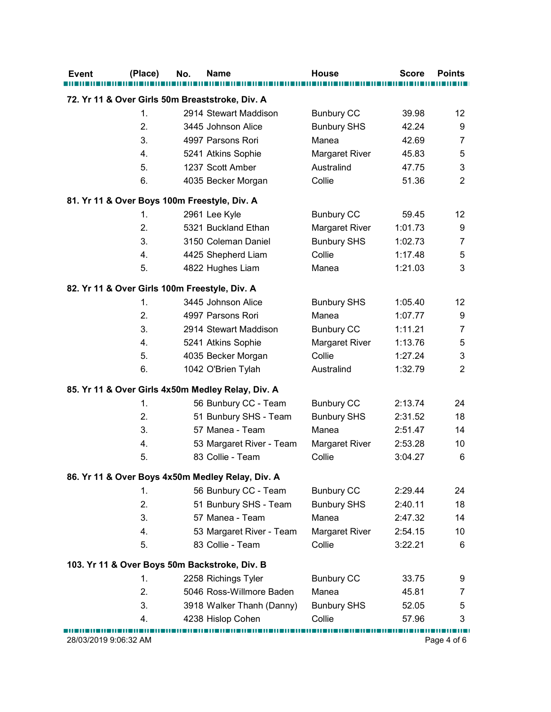| <b>Event</b>          | (Place)        | <b>Name</b><br>No.                                                       | <b>House</b>                            | <b>Score</b> | <b>Points</b>  |
|-----------------------|----------------|--------------------------------------------------------------------------|-----------------------------------------|--------------|----------------|
|                       |                |                                                                          |                                         |              |                |
|                       | $\mathbf{1}$ . | 72. Yr 11 & Over Girls 50m Breaststroke, Div. A<br>2914 Stewart Maddison |                                         | 39.98        | 12             |
|                       | 2.             | 3445 Johnson Alice                                                       | <b>Bunbury CC</b><br><b>Bunbury SHS</b> | 42.24        | 9              |
|                       | 3.             | 4997 Parsons Rori                                                        | Manea                                   | 42.69        | $\overline{7}$ |
|                       | 4.             | 5241 Atkins Sophie                                                       | <b>Margaret River</b>                   | 45.83        | 5              |
|                       | 5.             | 1237 Scott Amber                                                         | Australind                              | 47.75        | 3              |
|                       | 6.             | 4035 Becker Morgan                                                       | Collie                                  | 51.36        | $\overline{2}$ |
|                       |                |                                                                          |                                         |              |                |
|                       |                | 81. Yr 11 & Over Boys 100m Freestyle, Div. A                             |                                         |              |                |
|                       | 1.             | 2961 Lee Kyle                                                            | <b>Bunbury CC</b>                       | 59.45        | 12             |
|                       | 2.             | 5321 Buckland Ethan                                                      | Margaret River                          | 1:01.73      | 9              |
|                       | 3.             | 3150 Coleman Daniel                                                      | <b>Bunbury SHS</b>                      | 1:02.73      | $\overline{7}$ |
|                       | 4.             | 4425 Shepherd Liam                                                       | Collie                                  | 1:17.48      | 5              |
|                       | 5.             | 4822 Hughes Liam                                                         | Manea                                   | 1:21.03      | 3              |
|                       |                | 82. Yr 11 & Over Girls 100m Freestyle, Div. A                            |                                         |              |                |
|                       | 1.             | 3445 Johnson Alice                                                       | <b>Bunbury SHS</b>                      | 1:05.40      | 12             |
|                       | 2.             | 4997 Parsons Rori                                                        | Manea                                   | 1:07.77      | 9              |
|                       | 3.             | 2914 Stewart Maddison                                                    | <b>Bunbury CC</b>                       | 1:11.21      | $\overline{7}$ |
|                       | 4.             | 5241 Atkins Sophie                                                       | Margaret River                          | 1:13.76      | 5              |
|                       | 5.             | 4035 Becker Morgan                                                       | Collie                                  | 1:27.24      | 3              |
|                       | 6.             | 1042 O'Brien Tylah                                                       | Australind                              | 1:32.79      | $\overline{2}$ |
|                       |                |                                                                          |                                         |              |                |
|                       |                | 85. Yr 11 & Over Girls 4x50m Medley Relay, Div. A                        |                                         |              |                |
|                       | 1.             | 56 Bunbury CC - Team                                                     | <b>Bunbury CC</b>                       | 2:13.74      | 24             |
|                       | 2.             | 51 Bunbury SHS - Team                                                    | <b>Bunbury SHS</b>                      | 2:31.52      | 18             |
|                       | 3.             | 57 Manea - Team                                                          | Manea                                   | 2:51.47      | 14             |
|                       | 4.             | 53 Margaret River - Team                                                 | Margaret River                          | 2:53.28      | 10             |
|                       | 5.             | 83 Collie - Team                                                         | Collie                                  | 3:04.27      | 6              |
|                       |                | 86. Yr 11 & Over Boys 4x50m Medley Relay, Div. A                         |                                         |              |                |
|                       | 1.             | 56 Bunbury CC - Team                                                     | <b>Bunbury CC</b>                       | 2:29.44      | 24             |
|                       | 2.             | 51 Bunbury SHS - Team                                                    | <b>Bunbury SHS</b>                      | 2:40.11      | 18             |
|                       | 3.             | 57 Manea - Team                                                          | Manea                                   | 2:47.32      | 14             |
|                       | 4.             | 53 Margaret River - Team                                                 | Margaret River                          | 2:54.15      | 10             |
|                       | 5.             | 83 Collie - Team                                                         | Collie                                  | 3:22.21      | 6              |
|                       |                | 103. Yr 11 & Over Boys 50m Backstroke, Div. B                            |                                         |              |                |
|                       | 1.             | 2258 Richings Tyler                                                      | <b>Bunbury CC</b>                       | 33.75        | 9              |
|                       |                | 5046 Ross-Willmore Baden                                                 |                                         |              |                |
|                       | 2.             |                                                                          | Manea                                   | 45.81        | 7              |
|                       | 3.             | 3918 Walker Thanh (Danny)                                                | <b>Bunbury SHS</b>                      | 52.05        | 5              |
|                       | 4.             | 4238 Hislop Cohen                                                        | Collie                                  | 57.96        | 3              |
| 28/03/2019 9:06:32 AM |                |                                                                          |                                         |              |                |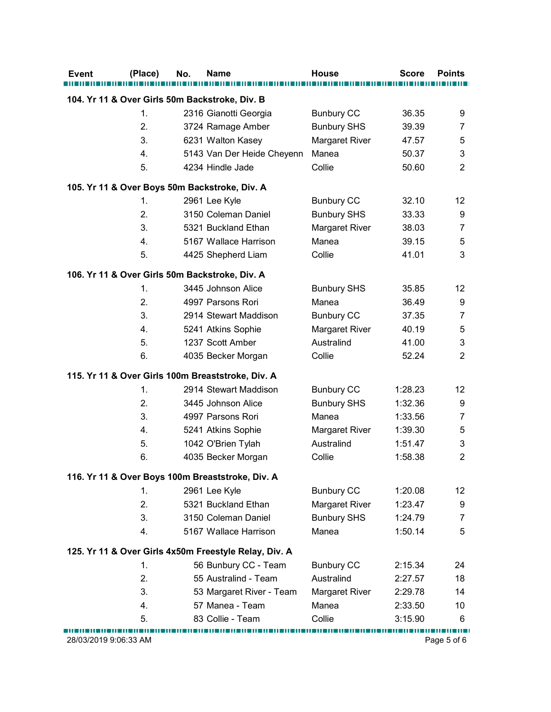| No.<br><b>Name</b><br><b>House</b><br><b>Score</b><br><b>Points</b><br>Event<br>(Place)<br>104. Yr 11 & Over Girls 50m Backstroke, Div. B<br>2316 Gianotti Georgia<br><b>Bunbury CC</b><br>36.35<br>9<br>1.<br>$\overline{7}$<br>2.<br><b>Bunbury SHS</b><br>3724 Ramage Amber<br>39.39<br>3.<br>6231 Walton Kasey<br>Margaret River<br>47.57<br>5<br>4.<br>3<br>5143 Van Der Heide Cheyenn<br>Manea<br>50.37<br>5.<br>$\overline{2}$<br>4234 Hindle Jade<br>Collie<br>50.60<br>105. Yr 11 & Over Boys 50m Backstroke, Div. A<br>2961 Lee Kyle<br><b>Bunbury CC</b><br>12<br>1.<br>32.10<br>2.<br>3150 Coleman Daniel<br><b>Bunbury SHS</b><br>33.33<br>9<br>3.<br>$\overline{7}$<br>5321 Buckland Ethan<br>Margaret River<br>38.03<br>5<br>4.<br>5167 Wallace Harrison<br>39.15<br>Manea<br>3<br>5.<br>Collie<br>41.01<br>4425 Shepherd Liam<br>106. Yr 11 & Over Girls 50m Backstroke, Div. A<br>12<br>1.<br>3445 Johnson Alice<br><b>Bunbury SHS</b><br>35.85<br>2.<br>4997 Parsons Rori<br>Manea<br>36.49<br>9<br>$\overline{7}$<br>3.<br><b>Bunbury CC</b><br>2914 Stewart Maddison<br>37.35<br>40.19<br>5<br>4.<br>5241 Atkins Sophie<br>Margaret River<br>$\ensuremath{\mathsf{3}}$<br>5.<br>1237 Scott Amber<br>Australind<br>41.00<br>$\overline{2}$<br>6.<br>Collie<br>4035 Becker Morgan<br>52.24<br>115. Yr 11 & Over Girls 100m Breaststroke, Div. A<br>2914 Stewart Maddison<br><b>Bunbury CC</b><br>12<br>1:28.23<br>1.<br>2.<br>3445 Johnson Alice<br><b>Bunbury SHS</b><br>1:32.36<br>9<br>$\overline{7}$<br>3.<br>4997 Parsons Rori<br>1:33.56<br>Manea<br>5<br>4.<br>5241 Atkins Sophie<br>Margaret River<br>1:39.30<br>$\ensuremath{\mathsf{3}}$<br>5.<br>1042 O'Brien Tylah<br>1:51.47<br>Australind<br>$\overline{2}$<br>6.<br>4035 Becker Morgan<br>Collie<br>1:58.38<br>116. Yr 11 & Over Boys 100m Breaststroke, Div. A<br>2961 Lee Kyle<br><b>Bunbury CC</b><br>1:20.08<br>12<br>1.<br>5321 Buckland Ethan<br>2.<br>Margaret River<br>1:23.47<br>9<br>3.<br><b>Bunbury SHS</b><br>$\overline{7}$<br>3150 Coleman Daniel<br>1:24.79<br>$\mathbf 5$<br>4.<br>5167 Wallace Harrison<br>Manea<br>1:50.14<br>125. Yr 11 & Over Girls 4x50m Freestyle Relay, Div. A<br>56 Bunbury CC - Team<br><b>Bunbury CC</b><br>2:15.34<br>24<br>1.<br>2.<br>55 Australind - Team<br>Australind<br>18<br>2:27.57<br>3.<br>53 Margaret River - Team<br>Margaret River<br>14<br>2:29.78<br>4.<br>57 Manea - Team<br>10<br>2:33.50<br>Manea<br>5.<br>3:15.90<br>$\,6$<br>83 Collie - Team<br>Collie |  |  |  |
|----------------------------------------------------------------------------------------------------------------------------------------------------------------------------------------------------------------------------------------------------------------------------------------------------------------------------------------------------------------------------------------------------------------------------------------------------------------------------------------------------------------------------------------------------------------------------------------------------------------------------------------------------------------------------------------------------------------------------------------------------------------------------------------------------------------------------------------------------------------------------------------------------------------------------------------------------------------------------------------------------------------------------------------------------------------------------------------------------------------------------------------------------------------------------------------------------------------------------------------------------------------------------------------------------------------------------------------------------------------------------------------------------------------------------------------------------------------------------------------------------------------------------------------------------------------------------------------------------------------------------------------------------------------------------------------------------------------------------------------------------------------------------------------------------------------------------------------------------------------------------------------------------------------------------------------------------------------------------------------------------------------------------------------------------------------------------------------------------------------------------------------------------------------------------------------------------------------------------------------------------------------------------------------------------------------------------------------------------------------------------------------------------------------------------------------------------------------------------------------------------------|--|--|--|
|                                                                                                                                                                                                                                                                                                                                                                                                                                                                                                                                                                                                                                                                                                                                                                                                                                                                                                                                                                                                                                                                                                                                                                                                                                                                                                                                                                                                                                                                                                                                                                                                                                                                                                                                                                                                                                                                                                                                                                                                                                                                                                                                                                                                                                                                                                                                                                                                                                                                                                          |  |  |  |
|                                                                                                                                                                                                                                                                                                                                                                                                                                                                                                                                                                                                                                                                                                                                                                                                                                                                                                                                                                                                                                                                                                                                                                                                                                                                                                                                                                                                                                                                                                                                                                                                                                                                                                                                                                                                                                                                                                                                                                                                                                                                                                                                                                                                                                                                                                                                                                                                                                                                                                          |  |  |  |
|                                                                                                                                                                                                                                                                                                                                                                                                                                                                                                                                                                                                                                                                                                                                                                                                                                                                                                                                                                                                                                                                                                                                                                                                                                                                                                                                                                                                                                                                                                                                                                                                                                                                                                                                                                                                                                                                                                                                                                                                                                                                                                                                                                                                                                                                                                                                                                                                                                                                                                          |  |  |  |
|                                                                                                                                                                                                                                                                                                                                                                                                                                                                                                                                                                                                                                                                                                                                                                                                                                                                                                                                                                                                                                                                                                                                                                                                                                                                                                                                                                                                                                                                                                                                                                                                                                                                                                                                                                                                                                                                                                                                                                                                                                                                                                                                                                                                                                                                                                                                                                                                                                                                                                          |  |  |  |
|                                                                                                                                                                                                                                                                                                                                                                                                                                                                                                                                                                                                                                                                                                                                                                                                                                                                                                                                                                                                                                                                                                                                                                                                                                                                                                                                                                                                                                                                                                                                                                                                                                                                                                                                                                                                                                                                                                                                                                                                                                                                                                                                                                                                                                                                                                                                                                                                                                                                                                          |  |  |  |
|                                                                                                                                                                                                                                                                                                                                                                                                                                                                                                                                                                                                                                                                                                                                                                                                                                                                                                                                                                                                                                                                                                                                                                                                                                                                                                                                                                                                                                                                                                                                                                                                                                                                                                                                                                                                                                                                                                                                                                                                                                                                                                                                                                                                                                                                                                                                                                                                                                                                                                          |  |  |  |
|                                                                                                                                                                                                                                                                                                                                                                                                                                                                                                                                                                                                                                                                                                                                                                                                                                                                                                                                                                                                                                                                                                                                                                                                                                                                                                                                                                                                                                                                                                                                                                                                                                                                                                                                                                                                                                                                                                                                                                                                                                                                                                                                                                                                                                                                                                                                                                                                                                                                                                          |  |  |  |
|                                                                                                                                                                                                                                                                                                                                                                                                                                                                                                                                                                                                                                                                                                                                                                                                                                                                                                                                                                                                                                                                                                                                                                                                                                                                                                                                                                                                                                                                                                                                                                                                                                                                                                                                                                                                                                                                                                                                                                                                                                                                                                                                                                                                                                                                                                                                                                                                                                                                                                          |  |  |  |
|                                                                                                                                                                                                                                                                                                                                                                                                                                                                                                                                                                                                                                                                                                                                                                                                                                                                                                                                                                                                                                                                                                                                                                                                                                                                                                                                                                                                                                                                                                                                                                                                                                                                                                                                                                                                                                                                                                                                                                                                                                                                                                                                                                                                                                                                                                                                                                                                                                                                                                          |  |  |  |
|                                                                                                                                                                                                                                                                                                                                                                                                                                                                                                                                                                                                                                                                                                                                                                                                                                                                                                                                                                                                                                                                                                                                                                                                                                                                                                                                                                                                                                                                                                                                                                                                                                                                                                                                                                                                                                                                                                                                                                                                                                                                                                                                                                                                                                                                                                                                                                                                                                                                                                          |  |  |  |
|                                                                                                                                                                                                                                                                                                                                                                                                                                                                                                                                                                                                                                                                                                                                                                                                                                                                                                                                                                                                                                                                                                                                                                                                                                                                                                                                                                                                                                                                                                                                                                                                                                                                                                                                                                                                                                                                                                                                                                                                                                                                                                                                                                                                                                                                                                                                                                                                                                                                                                          |  |  |  |
|                                                                                                                                                                                                                                                                                                                                                                                                                                                                                                                                                                                                                                                                                                                                                                                                                                                                                                                                                                                                                                                                                                                                                                                                                                                                                                                                                                                                                                                                                                                                                                                                                                                                                                                                                                                                                                                                                                                                                                                                                                                                                                                                                                                                                                                                                                                                                                                                                                                                                                          |  |  |  |
|                                                                                                                                                                                                                                                                                                                                                                                                                                                                                                                                                                                                                                                                                                                                                                                                                                                                                                                                                                                                                                                                                                                                                                                                                                                                                                                                                                                                                                                                                                                                                                                                                                                                                                                                                                                                                                                                                                                                                                                                                                                                                                                                                                                                                                                                                                                                                                                                                                                                                                          |  |  |  |
|                                                                                                                                                                                                                                                                                                                                                                                                                                                                                                                                                                                                                                                                                                                                                                                                                                                                                                                                                                                                                                                                                                                                                                                                                                                                                                                                                                                                                                                                                                                                                                                                                                                                                                                                                                                                                                                                                                                                                                                                                                                                                                                                                                                                                                                                                                                                                                                                                                                                                                          |  |  |  |
|                                                                                                                                                                                                                                                                                                                                                                                                                                                                                                                                                                                                                                                                                                                                                                                                                                                                                                                                                                                                                                                                                                                                                                                                                                                                                                                                                                                                                                                                                                                                                                                                                                                                                                                                                                                                                                                                                                                                                                                                                                                                                                                                                                                                                                                                                                                                                                                                                                                                                                          |  |  |  |
|                                                                                                                                                                                                                                                                                                                                                                                                                                                                                                                                                                                                                                                                                                                                                                                                                                                                                                                                                                                                                                                                                                                                                                                                                                                                                                                                                                                                                                                                                                                                                                                                                                                                                                                                                                                                                                                                                                                                                                                                                                                                                                                                                                                                                                                                                                                                                                                                                                                                                                          |  |  |  |
|                                                                                                                                                                                                                                                                                                                                                                                                                                                                                                                                                                                                                                                                                                                                                                                                                                                                                                                                                                                                                                                                                                                                                                                                                                                                                                                                                                                                                                                                                                                                                                                                                                                                                                                                                                                                                                                                                                                                                                                                                                                                                                                                                                                                                                                                                                                                                                                                                                                                                                          |  |  |  |
|                                                                                                                                                                                                                                                                                                                                                                                                                                                                                                                                                                                                                                                                                                                                                                                                                                                                                                                                                                                                                                                                                                                                                                                                                                                                                                                                                                                                                                                                                                                                                                                                                                                                                                                                                                                                                                                                                                                                                                                                                                                                                                                                                                                                                                                                                                                                                                                                                                                                                                          |  |  |  |
|                                                                                                                                                                                                                                                                                                                                                                                                                                                                                                                                                                                                                                                                                                                                                                                                                                                                                                                                                                                                                                                                                                                                                                                                                                                                                                                                                                                                                                                                                                                                                                                                                                                                                                                                                                                                                                                                                                                                                                                                                                                                                                                                                                                                                                                                                                                                                                                                                                                                                                          |  |  |  |
|                                                                                                                                                                                                                                                                                                                                                                                                                                                                                                                                                                                                                                                                                                                                                                                                                                                                                                                                                                                                                                                                                                                                                                                                                                                                                                                                                                                                                                                                                                                                                                                                                                                                                                                                                                                                                                                                                                                                                                                                                                                                                                                                                                                                                                                                                                                                                                                                                                                                                                          |  |  |  |
|                                                                                                                                                                                                                                                                                                                                                                                                                                                                                                                                                                                                                                                                                                                                                                                                                                                                                                                                                                                                                                                                                                                                                                                                                                                                                                                                                                                                                                                                                                                                                                                                                                                                                                                                                                                                                                                                                                                                                                                                                                                                                                                                                                                                                                                                                                                                                                                                                                                                                                          |  |  |  |
|                                                                                                                                                                                                                                                                                                                                                                                                                                                                                                                                                                                                                                                                                                                                                                                                                                                                                                                                                                                                                                                                                                                                                                                                                                                                                                                                                                                                                                                                                                                                                                                                                                                                                                                                                                                                                                                                                                                                                                                                                                                                                                                                                                                                                                                                                                                                                                                                                                                                                                          |  |  |  |
|                                                                                                                                                                                                                                                                                                                                                                                                                                                                                                                                                                                                                                                                                                                                                                                                                                                                                                                                                                                                                                                                                                                                                                                                                                                                                                                                                                                                                                                                                                                                                                                                                                                                                                                                                                                                                                                                                                                                                                                                                                                                                                                                                                                                                                                                                                                                                                                                                                                                                                          |  |  |  |
|                                                                                                                                                                                                                                                                                                                                                                                                                                                                                                                                                                                                                                                                                                                                                                                                                                                                                                                                                                                                                                                                                                                                                                                                                                                                                                                                                                                                                                                                                                                                                                                                                                                                                                                                                                                                                                                                                                                                                                                                                                                                                                                                                                                                                                                                                                                                                                                                                                                                                                          |  |  |  |
|                                                                                                                                                                                                                                                                                                                                                                                                                                                                                                                                                                                                                                                                                                                                                                                                                                                                                                                                                                                                                                                                                                                                                                                                                                                                                                                                                                                                                                                                                                                                                                                                                                                                                                                                                                                                                                                                                                                                                                                                                                                                                                                                                                                                                                                                                                                                                                                                                                                                                                          |  |  |  |
|                                                                                                                                                                                                                                                                                                                                                                                                                                                                                                                                                                                                                                                                                                                                                                                                                                                                                                                                                                                                                                                                                                                                                                                                                                                                                                                                                                                                                                                                                                                                                                                                                                                                                                                                                                                                                                                                                                                                                                                                                                                                                                                                                                                                                                                                                                                                                                                                                                                                                                          |  |  |  |
|                                                                                                                                                                                                                                                                                                                                                                                                                                                                                                                                                                                                                                                                                                                                                                                                                                                                                                                                                                                                                                                                                                                                                                                                                                                                                                                                                                                                                                                                                                                                                                                                                                                                                                                                                                                                                                                                                                                                                                                                                                                                                                                                                                                                                                                                                                                                                                                                                                                                                                          |  |  |  |
|                                                                                                                                                                                                                                                                                                                                                                                                                                                                                                                                                                                                                                                                                                                                                                                                                                                                                                                                                                                                                                                                                                                                                                                                                                                                                                                                                                                                                                                                                                                                                                                                                                                                                                                                                                                                                                                                                                                                                                                                                                                                                                                                                                                                                                                                                                                                                                                                                                                                                                          |  |  |  |
|                                                                                                                                                                                                                                                                                                                                                                                                                                                                                                                                                                                                                                                                                                                                                                                                                                                                                                                                                                                                                                                                                                                                                                                                                                                                                                                                                                                                                                                                                                                                                                                                                                                                                                                                                                                                                                                                                                                                                                                                                                                                                                                                                                                                                                                                                                                                                                                                                                                                                                          |  |  |  |
|                                                                                                                                                                                                                                                                                                                                                                                                                                                                                                                                                                                                                                                                                                                                                                                                                                                                                                                                                                                                                                                                                                                                                                                                                                                                                                                                                                                                                                                                                                                                                                                                                                                                                                                                                                                                                                                                                                                                                                                                                                                                                                                                                                                                                                                                                                                                                                                                                                                                                                          |  |  |  |
|                                                                                                                                                                                                                                                                                                                                                                                                                                                                                                                                                                                                                                                                                                                                                                                                                                                                                                                                                                                                                                                                                                                                                                                                                                                                                                                                                                                                                                                                                                                                                                                                                                                                                                                                                                                                                                                                                                                                                                                                                                                                                                                                                                                                                                                                                                                                                                                                                                                                                                          |  |  |  |
|                                                                                                                                                                                                                                                                                                                                                                                                                                                                                                                                                                                                                                                                                                                                                                                                                                                                                                                                                                                                                                                                                                                                                                                                                                                                                                                                                                                                                                                                                                                                                                                                                                                                                                                                                                                                                                                                                                                                                                                                                                                                                                                                                                                                                                                                                                                                                                                                                                                                                                          |  |  |  |
|                                                                                                                                                                                                                                                                                                                                                                                                                                                                                                                                                                                                                                                                                                                                                                                                                                                                                                                                                                                                                                                                                                                                                                                                                                                                                                                                                                                                                                                                                                                                                                                                                                                                                                                                                                                                                                                                                                                                                                                                                                                                                                                                                                                                                                                                                                                                                                                                                                                                                                          |  |  |  |
|                                                                                                                                                                                                                                                                                                                                                                                                                                                                                                                                                                                                                                                                                                                                                                                                                                                                                                                                                                                                                                                                                                                                                                                                                                                                                                                                                                                                                                                                                                                                                                                                                                                                                                                                                                                                                                                                                                                                                                                                                                                                                                                                                                                                                                                                                                                                                                                                                                                                                                          |  |  |  |
|                                                                                                                                                                                                                                                                                                                                                                                                                                                                                                                                                                                                                                                                                                                                                                                                                                                                                                                                                                                                                                                                                                                                                                                                                                                                                                                                                                                                                                                                                                                                                                                                                                                                                                                                                                                                                                                                                                                                                                                                                                                                                                                                                                                                                                                                                                                                                                                                                                                                                                          |  |  |  |
|                                                                                                                                                                                                                                                                                                                                                                                                                                                                                                                                                                                                                                                                                                                                                                                                                                                                                                                                                                                                                                                                                                                                                                                                                                                                                                                                                                                                                                                                                                                                                                                                                                                                                                                                                                                                                                                                                                                                                                                                                                                                                                                                                                                                                                                                                                                                                                                                                                                                                                          |  |  |  |
|                                                                                                                                                                                                                                                                                                                                                                                                                                                                                                                                                                                                                                                                                                                                                                                                                                                                                                                                                                                                                                                                                                                                                                                                                                                                                                                                                                                                                                                                                                                                                                                                                                                                                                                                                                                                                                                                                                                                                                                                                                                                                                                                                                                                                                                                                                                                                                                                                                                                                                          |  |  |  |
|                                                                                                                                                                                                                                                                                                                                                                                                                                                                                                                                                                                                                                                                                                                                                                                                                                                                                                                                                                                                                                                                                                                                                                                                                                                                                                                                                                                                                                                                                                                                                                                                                                                                                                                                                                                                                                                                                                                                                                                                                                                                                                                                                                                                                                                                                                                                                                                                                                                                                                          |  |  |  |
|                                                                                                                                                                                                                                                                                                                                                                                                                                                                                                                                                                                                                                                                                                                                                                                                                                                                                                                                                                                                                                                                                                                                                                                                                                                                                                                                                                                                                                                                                                                                                                                                                                                                                                                                                                                                                                                                                                                                                                                                                                                                                                                                                                                                                                                                                                                                                                                                                                                                                                          |  |  |  |
|                                                                                                                                                                                                                                                                                                                                                                                                                                                                                                                                                                                                                                                                                                                                                                                                                                                                                                                                                                                                                                                                                                                                                                                                                                                                                                                                                                                                                                                                                                                                                                                                                                                                                                                                                                                                                                                                                                                                                                                                                                                                                                                                                                                                                                                                                                                                                                                                                                                                                                          |  |  |  |
| <b>AND</b>                                                                                                                                                                                                                                                                                                                                                                                                                                                                                                                                                                                                                                                                                                                                                                                                                                                                                                                                                                                                                                                                                                                                                                                                                                                                                                                                                                                                                                                                                                                                                                                                                                                                                                                                                                                                                                                                                                                                                                                                                                                                                                                                                                                                                                                                                                                                                                                                                                                                                               |  |  |  |